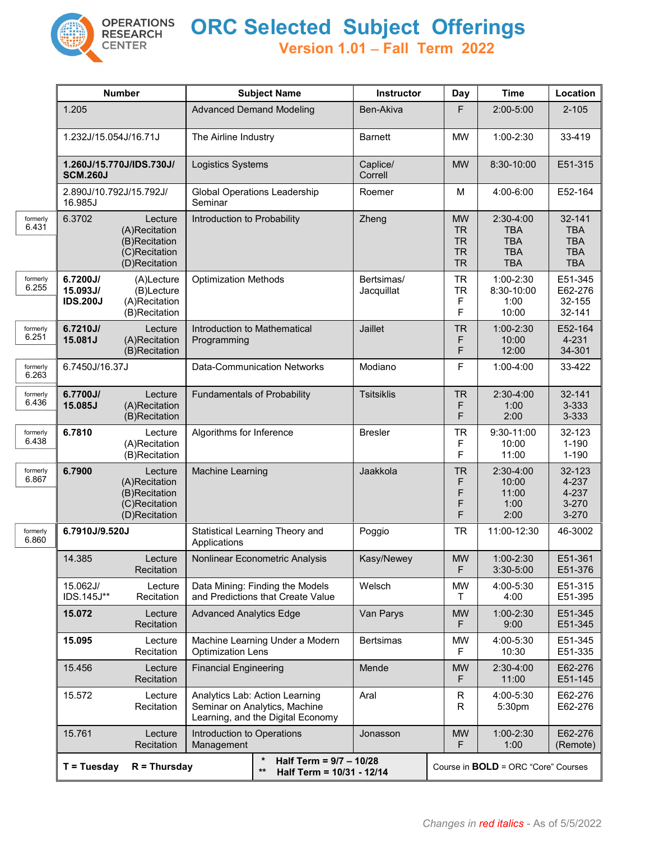

## **ORC Selected Subject Offerings**

**Version 1.01** − **Fall Term 2022**

|                   | <b>Number</b>                                                                         |                                                                             | <b>Subject Name</b>                                                                                  |                                                                      | <b>Instructor</b>        | Day                                                           | <b>Time</b>                                                       | Location                                                       |
|-------------------|---------------------------------------------------------------------------------------|-----------------------------------------------------------------------------|------------------------------------------------------------------------------------------------------|----------------------------------------------------------------------|--------------------------|---------------------------------------------------------------|-------------------------------------------------------------------|----------------------------------------------------------------|
|                   | 1.205                                                                                 |                                                                             | <b>Advanced Demand Modeling</b>                                                                      |                                                                      | Ben-Akiva                | F                                                             | 2:00-5:00                                                         | $2 - 105$                                                      |
|                   | 1.232J/15.054J/16.71J                                                                 |                                                                             | The Airline Industry                                                                                 |                                                                      | <b>Barnett</b>           | <b>MW</b>                                                     | 1:00-2:30                                                         | 33-419                                                         |
|                   | 1.260J/15.770J/IDS.730J/<br><b>SCM.260J</b>                                           |                                                                             | Logistics Systems                                                                                    |                                                                      | Caplice/<br>Correll      | <b>MW</b>                                                     | 8:30-10:00                                                        | E51-315                                                        |
|                   | 2.890J/10.792J/15.792J/<br>16.985J                                                    |                                                                             | Seminar                                                                                              | <b>Global Operations Leadership</b>                                  | Roemer                   | M                                                             | 4:00-6:00                                                         | E52-164                                                        |
| formerly<br>6.431 | 6.3702                                                                                | Lecture<br>(A)Recitation<br>(B)Recitation<br>(C)Recitation<br>(D)Recitation |                                                                                                      | Introduction to Probability                                          | Zheng                    | <b>MW</b><br><b>TR</b><br><b>TR</b><br><b>TR</b><br><b>TR</b> | 2:30-4:00<br><b>TBA</b><br><b>TBA</b><br><b>TBA</b><br><b>TBA</b> | 32-141<br><b>TBA</b><br><b>TBA</b><br><b>TBA</b><br><b>TBA</b> |
| formerly<br>6.255 | 6.7200J/<br>15.093J/<br><b>IDS.200J</b>                                               | (A)Lecture<br>(B)Lecture<br>(A)Recitation<br>(B)Recitation                  | <b>Optimization Methods</b>                                                                          |                                                                      | Bertsimas/<br>Jacquillat | <b>TR</b><br><b>TR</b><br>$\mathsf F$<br>F                    | 1:00-2:30<br>8:30-10:00<br>1:00<br>10:00                          | E51-345<br>E62-276<br>32-155<br>32-141                         |
| formerly<br>6.251 | 6.7210J/<br>15.081J                                                                   | Lecture<br>(A)Recitation<br>(B)Recitation                                   | Introduction to Mathematical<br>Programming                                                          |                                                                      | Jaillet                  | <b>TR</b><br>F<br>F                                           | 1:00-2:30<br>10:00<br>12:00                                       | E52-164<br>4-231<br>34-301                                     |
| formerly<br>6.263 | 6.7450J/16.37J                                                                        |                                                                             | <b>Data-Communication Networks</b>                                                                   |                                                                      | Modiano                  | F                                                             | $1:00 - 4:00$                                                     | 33-422                                                         |
| formerly<br>6.436 | 6.7700J/<br>15.085J                                                                   | Lecture<br>(A)Recitation<br>(B)Recitation                                   | <b>Fundamentals of Probability</b>                                                                   |                                                                      | <b>Tsitsiklis</b>        | <b>TR</b><br>F<br>F                                           | 2:30-4:00<br>1:00<br>2:00                                         | 32-141<br>3-333<br>3-333                                       |
| formerly<br>6.438 | 6.7810                                                                                | Lecture<br>(A)Recitation<br>(B)Recitation                                   | Algorithms for Inference                                                                             |                                                                      | <b>Bresler</b>           | <b>TR</b><br>F<br>F                                           | 9:30-11:00<br>10:00<br>11:00                                      | 32-123<br>$1 - 190$<br>$1 - 190$                               |
| formerly<br>6.867 | 6.7900<br>Lecture<br>(A)Recitation<br>(B)Recitation<br>(C)Recitation<br>(D)Recitation |                                                                             | Machine Learning                                                                                     |                                                                      | Jaakkola                 | <b>TR</b><br>F<br>F<br>F<br>F                                 | $2:30-4:00$<br>10:00<br>11:00<br>1:00<br>2:00                     | 32-123<br>4-237<br>4-237<br>3-270<br>$3 - 270$                 |
| formerly<br>6.860 | 6.7910J/9.520J                                                                        |                                                                             | Statistical Learning Theory and<br>Applications                                                      |                                                                      | Poggio                   | <b>TR</b>                                                     | 11:00-12:30                                                       | 46-3002                                                        |
|                   | 14.385                                                                                | Lecture<br>Recitation                                                       |                                                                                                      | Nonlinear Econometric Analysis                                       | Kasy/Newey               | <b>MW</b><br>F                                                | 1:00-2:30<br>3:30-5:00                                            | E51-361<br>E51-376                                             |
|                   | 15.062J/<br>IDS.145J**                                                                | Lecture<br>Recitation                                                       |                                                                                                      | Data Mining: Finding the Models<br>and Predictions that Create Value | Welsch                   | <b>MW</b><br>$\mathsf{T}$                                     | 4:00-5:30<br>4:00                                                 | E51-315<br>E51-395                                             |
|                   | 15.072                                                                                | Lecture<br>Recitation                                                       | <b>Advanced Analytics Edge</b>                                                                       |                                                                      | Van Parys                | <b>MW</b><br>F                                                | $1:00 - 2:30$<br>9:00                                             | E51-345<br>E51-345                                             |
|                   | 15.095                                                                                | Lecture<br>Recitation                                                       | <b>Optimization Lens</b>                                                                             | Machine Learning Under a Modern                                      | <b>Bertsimas</b>         | <b>MW</b><br>F.                                               | 4:00-5:30<br>10:30                                                | E51-345<br>E51-335                                             |
|                   | 15.456                                                                                | Lecture<br>Recitation                                                       | <b>Financial Engineering</b>                                                                         |                                                                      | Mende                    | <b>MW</b><br>F                                                | $2:30-4:00$<br>11:00                                              | E62-276<br>E51-145                                             |
|                   | 15.572<br>Lecture<br>Recitation                                                       |                                                                             | Analytics Lab: Action Learning<br>Seminar on Analytics, Machine<br>Learning, and the Digital Economy |                                                                      | Aral                     | R<br>R                                                        | 4:00-5:30<br>5:30pm                                               | E62-276<br>E62-276                                             |
|                   | 15.761                                                                                | Lecture<br>Recitation                                                       | Introduction to Operations<br>Management                                                             |                                                                      | Jonasson                 | <b>MW</b><br>F.                                               | 1:00-2:30<br>1:00                                                 | E62-276<br>(Remote)                                            |
|                   | $R = Thursday$<br>$T = Tuesday$                                                       |                                                                             |                                                                                                      | Half Term = 9/7 - 10/28<br>$***$<br>Half Term = 10/31 - 12/14        |                          | Course in <b>BOLD</b> = ORC "Core" Courses                    |                                                                   |                                                                |